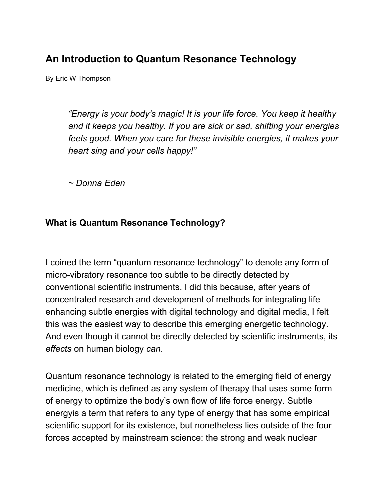# **An Introduction to Quantum Resonance Technology**

By Eric W Thompson

*"Energy is your body's magic! It is your life force. You keep it healthy and it keeps you healthy. If you are sick or sad, shifting your energies feels good. When you care for these invisible energies, it makes your heart sing and your cells happy!"*

*~ Donna Eden*

#### **What is Quantum Resonance Technology?**

I coined the term "quantum resonance technology" to denote any form of micro-vibratory resonance too subtle to be directly detected by conventional scientific instruments. I did this because, after years of concentrated research and development of methods for integrating life enhancing subtle energies with digital technology and digital media, I felt this was the easiest way to describe this emerging energetic technology. And even though it cannot be directly detected by scientific instruments, its *effects* on human biology *can*.

Quantum resonance technology is related to the emerging field of energy medicine, which is defined as any system of therapy that uses some form of energy to optimize the body's own flow of life force energy. Subtle energyis a term that refers to any type of energy that has some empirical scientific support for its existence, but nonetheless lies outside of the four forces accepted by mainstream science: the strong and weak nuclear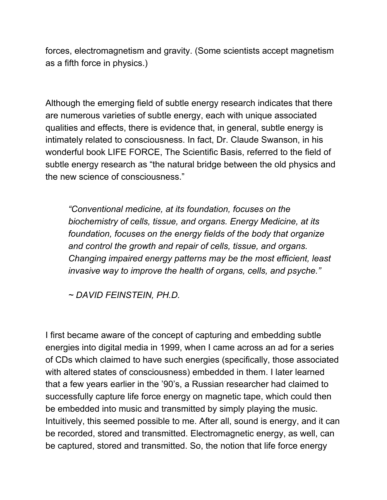forces, electromagnetism and gravity. (Some scientists accept magnetism as a fifth force in physics.)

Although the emerging field of subtle energy research indicates that there are numerous varieties of subtle energy, each with unique associated qualities and effects, there is evidence that, in general, subtle energy is intimately related to consciousness. In fact, Dr. Claude Swanson, in his wonderful book LIFE FORCE, The Scientific Basis, referred to the field of subtle energy research as "the natural bridge between the old physics and the new science of consciousness."

*"Conventional medicine, at its foundation, focuses on the biochemistry of cells, tissue, and organs. Energy Medicine, at its foundation, focuses on the energy fields of the body that organize and control the growth and repair of cells, tissue, and organs. Changing impaired energy patterns may be the most efficient, least invasive way to improve the health of organs, cells, and psyche."*

*~ DAVID FEINSTEIN, PH.D.*

I first became aware of the concept of capturing and embedding subtle energies into digital media in 1999, when I came across an ad for a series of CDs which claimed to have such energies (specifically, those associated with altered states of consciousness) embedded in them. I later learned that a few years earlier in the '90's, a Russian researcher had claimed to successfully capture life force energy on magnetic tape, which could then be embedded into music and transmitted by simply playing the music. Intuitively, this seemed possible to me. After all, sound is energy, and it can be recorded, stored and transmitted. Electromagnetic energy, as well, can be captured, stored and transmitted. So, the notion that life force energy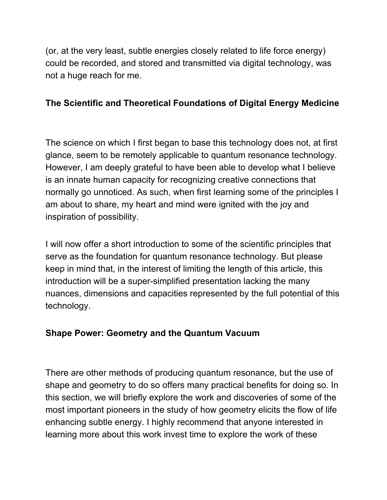(or, at the very least, subtle energies closely related to life force energy) could be recorded, and stored and transmitted via digital technology, was not a huge reach for me.

### **The Scientific and Theoretical Foundations of Digital Energy Medicine**

The science on which I first began to base this technology does not, at first glance, seem to be remotely applicable to quantum resonance technology. However, I am deeply grateful to have been able to develop what I believe is an innate human capacity for recognizing creative connections that normally go unnoticed. As such, when first learning some of the principles I am about to share, my heart and mind were ignited with the joy and inspiration of possibility.

I will now offer a short introduction to some of the scientific principles that serve as the foundation for quantum resonance technology. But please keep in mind that, in the interest of limiting the length of this article, this introduction will be a super-simplified presentation lacking the many nuances, dimensions and capacities represented by the full potential of this technology.

## **Shape Power: Geometry and the Quantum Vacuum**

There are other methods of producing quantum resonance, but the use of shape and geometry to do so offers many practical benefits for doing so. In this section, we will briefly explore the work and discoveries of some of the most important pioneers in the study of how geometry elicits the flow of life enhancing subtle energy. I highly recommend that anyone interested in learning more about this work invest time to explore the work of these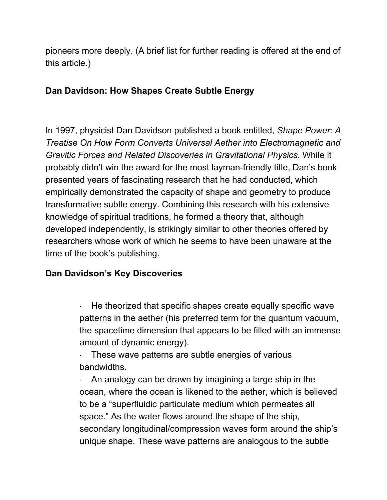pioneers more deeply. (A brief list for further reading is offered at the end of this article.)

#### **Dan Davidson: How Shapes Create Subtle Energy**

In 1997, physicist Dan Davidson published a book entitled, *Shape Power: A Treatise On How Form Converts Universal Aether into Electromagnetic and Gravitic Forces and Related Discoveries in Gravitational Physics*. While it probably didn't win the award for the most layman-friendly title, Dan's book presented years of fascinating research that he had conducted, which empirically demonstrated the capacity of shape and geometry to produce transformative subtle energy. Combining this research with his extensive knowledge of spiritual traditions, he formed a theory that, although developed independently, is strikingly similar to other theories offered by researchers whose work of which he seems to have been unaware at the time of the book's publishing.

#### **Dan Davidson's Key Discoveries**

He theorized that specific shapes create equally specific wave patterns in the aether (his preferred term for the quantum vacuum, the spacetime dimension that appears to be filled with an immense amount of dynamic energy).

These wave patterns are subtle energies of various bandwidths.

An analogy can be drawn by imagining a large ship in the ocean, where the ocean is likened to the aether, which is believed to be a "superfluidic particulate medium which permeates all space." As the water flows around the shape of the ship, secondary longitudinal/compression waves form around the ship's unique shape. These wave patterns are analogous to the subtle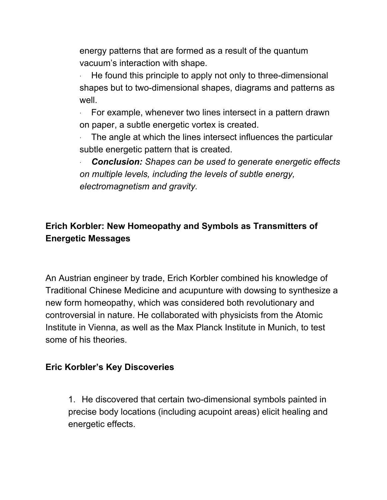energy patterns that are formed as a result of the quantum vacuum's interaction with shape.

He found this principle to apply not only to three-dimensional shapes but to two-dimensional shapes, diagrams and patterns as well.

For example, whenever two lines intersect in a pattern drawn on paper, a subtle energetic vortex is created.

The angle at which the lines intersect influences the particular subtle energetic pattern that is created.

· *Conclusion: Shapes can be used to generate energetic effects on multiple levels, including the levels of subtle energy, electromagnetism and gravity.*

## **Erich Korbler: New Homeopathy and Symbols as Transmitters of Energetic Messages**

An Austrian engineer by trade, Erich Korbler combined his knowledge of Traditional Chinese Medicine and acupunture with dowsing to synthesize a new form homeopathy, which was considered both revolutionary and controversial in nature. He collaborated with physicists from the Atomic Institute in Vienna, as well as the Max Planck Institute in Munich, to test some of his theories.

#### **Eric Korbler's Key Discoveries**

1. He discovered that certain two-dimensional symbols painted in precise body locations (including acupoint areas) elicit healing and energetic effects.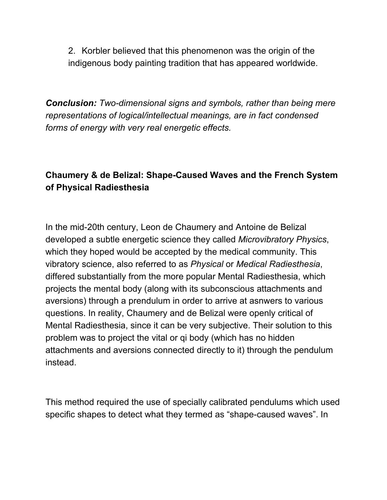2. Korbler believed that this phenomenon was the origin of the indigenous body painting tradition that has appeared worldwide.

*Conclusion: Two-dimensional signs and symbols, rather than being mere representations of logical/intellectual meanings, are in fact condensed forms of energy with very real energetic effects.*

## **Chaumery & de Belizal: Shape-Caused Waves and the French System of Physical Radiesthesia**

In the mid-20th century, Leon de Chaumery and Antoine de Belizal developed a subtle energetic science they called *Microvibratory Physics*, which they hoped would be accepted by the medical community. This vibratory science, also referred to as *Physical* or *Medical Radiesthesia*, differed substantially from the more popular Mental Radiesthesia, which projects the mental body (along with its subconscious attachments and aversions) through a prendulum in order to arrive at asnwers to various questions. In reality, Chaumery and de Belizal were openly critical of Mental Radiesthesia, since it can be very subjective. Their solution to this problem was to project the vital or qi body (which has no hidden attachments and aversions connected directly to it) through the pendulum instead.

This method required the use of specially calibrated pendulums which used specific shapes to detect what they termed as "shape-caused waves". In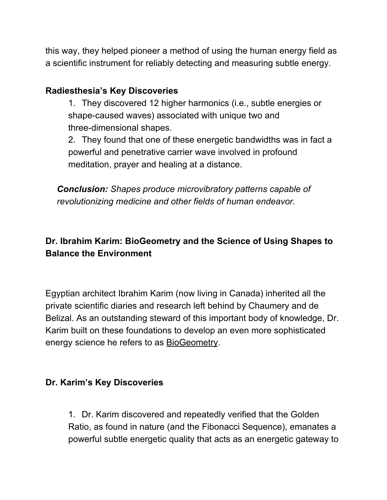this way, they helped pioneer a method of using the human energy field as a scientific instrument for reliably detecting and measuring subtle energy.

### **Radiesthesia's Key Discoveries**

1. They discovered 12 higher harmonics (i.e., subtle energies or shape-caused waves) associated with unique two and three-dimensional shapes.

2. They found that one of these energetic bandwidths was in fact a powerful and penetrative carrier wave involved in profound meditation, prayer and healing at a distance.

*Conclusion: Shapes produce microvibratory patterns capable of revolutionizing medicine and other fields of human endeavor.*

## **Dr. Ibrahim Karim: BioGeometry and the Science of Using Shapes to Balance the Environment**

Egyptian architect Ibrahim Karim (now living in Canada) inherited all the private scientific diaries and research left behind by Chaumery and de Belizal. As an outstanding steward of this important body of knowledge, Dr. Karim built on these foundations to develop an even more sophisticated energy science he refers to as **BioGeometry**.

## **Dr. Karim's Key Discoveries**

1. Dr. Karim discovered and repeatedly verified that the Golden Ratio, as found in nature (and the Fibonacci Sequence), emanates a powerful subtle energetic quality that acts as an energetic gateway to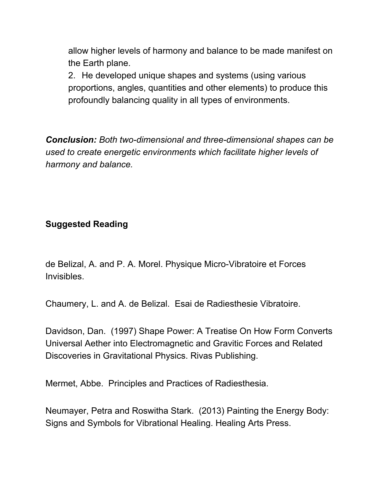allow higher levels of harmony and balance to be made manifest on the Earth plane.

2. He developed unique shapes and systems (using various proportions, angles, quantities and other elements) to produce this profoundly balancing quality in all types of environments.

*Conclusion: Both two-dimensional and three-dimensional shapes can be used to create energetic environments which facilitate higher levels of harmony and balance.*

#### **Suggested Reading**

de Belizal, A. and P. A. Morel. Physique Micro-Vibratoire et Forces Invisibles.

Chaumery, L. and A. de Belizal. Esai de Radiesthesie Vibratoire.

Davidson, Dan. (1997) Shape Power: A Treatise On How Form Converts Universal Aether into Electromagnetic and Gravitic Forces and Related Discoveries in Gravitational Physics. Rivas Publishing.

Mermet, Abbe. Principles and Practices of Radiesthesia.

Neumayer, Petra and Roswitha Stark. (2013) Painting the Energy Body: Signs and Symbols for Vibrational Healing. Healing Arts Press.